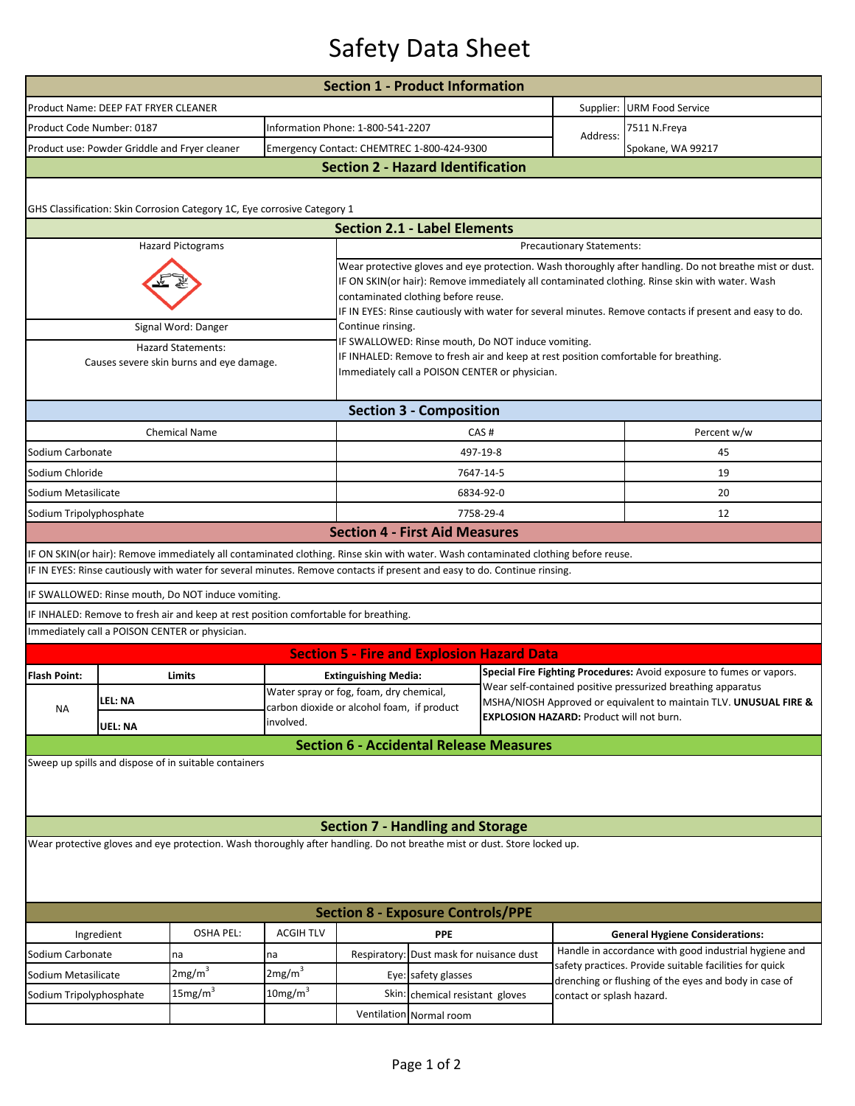## Safety Data Sheet

| <b>Section 1 - Product Information</b>                                                                                   |                                                                                                                                        |                     |                                                                        |                                                                                                                                                                                                                                                                                                                                                             |                                   |                                                |                                                                      |                                                                                                                  |  |  |  |  |
|--------------------------------------------------------------------------------------------------------------------------|----------------------------------------------------------------------------------------------------------------------------------------|---------------------|------------------------------------------------------------------------|-------------------------------------------------------------------------------------------------------------------------------------------------------------------------------------------------------------------------------------------------------------------------------------------------------------------------------------------------------------|-----------------------------------|------------------------------------------------|----------------------------------------------------------------------|------------------------------------------------------------------------------------------------------------------|--|--|--|--|
|                                                                                                                          | Product Name: DEEP FAT FRYER CLEANER                                                                                                   |                     |                                                                        |                                                                                                                                                                                                                                                                                                                                                             |                                   |                                                | Supplier:                                                            | <b>URM Food Service</b>                                                                                          |  |  |  |  |
|                                                                                                                          | Product Code Number: 0187                                                                                                              |                     |                                                                        |                                                                                                                                                                                                                                                                                                                                                             | Information Phone: 1-800-541-2207 |                                                |                                                                      | 7511 N.Freya                                                                                                     |  |  |  |  |
| Product use: Powder Griddle and Fryer cleaner                                                                            |                                                                                                                                        |                     |                                                                        | Emergency Contact: CHEMTREC 1-800-424-9300                                                                                                                                                                                                                                                                                                                  |                                   |                                                | Address:                                                             | Spokane, WA 99217                                                                                                |  |  |  |  |
|                                                                                                                          | <b>Section 2 - Hazard Identification</b>                                                                                               |                     |                                                                        |                                                                                                                                                                                                                                                                                                                                                             |                                   |                                                |                                                                      |                                                                                                                  |  |  |  |  |
| GHS Classification: Skin Corrosion Category 1C, Eye corrosive Category 1                                                 |                                                                                                                                        |                     |                                                                        |                                                                                                                                                                                                                                                                                                                                                             |                                   |                                                |                                                                      |                                                                                                                  |  |  |  |  |
|                                                                                                                          |                                                                                                                                        |                     |                                                                        | <b>Section 2.1 - Label Elements</b>                                                                                                                                                                                                                                                                                                                         |                                   |                                                |                                                                      |                                                                                                                  |  |  |  |  |
| <b>Hazard Pictograms</b><br><b>Precautionary Statements:</b>                                                             |                                                                                                                                        |                     |                                                                        |                                                                                                                                                                                                                                                                                                                                                             |                                   |                                                |                                                                      |                                                                                                                  |  |  |  |  |
|                                                                                                                          |                                                                                                                                        |                     |                                                                        | Wear protective gloves and eye protection. Wash thoroughly after handling. Do not breathe mist or dust.<br>IF ON SKIN(or hair): Remove immediately all contaminated clothing. Rinse skin with water. Wash<br>contaminated clothing before reuse.<br>IF IN EYES: Rinse cautiously with water for several minutes. Remove contacts if present and easy to do. |                                   |                                                |                                                                      |                                                                                                                  |  |  |  |  |
|                                                                                                                          | Signal Word: Danger                                                                                                                    |                     |                                                                        | Continue rinsing.<br>IF SWALLOWED: Rinse mouth, Do NOT induce vomiting.                                                                                                                                                                                                                                                                                     |                                   |                                                |                                                                      |                                                                                                                  |  |  |  |  |
| <b>Hazard Statements:</b><br>Causes severe skin burns and eye damage.                                                    |                                                                                                                                        |                     |                                                                        | IF INHALED: Remove to fresh air and keep at rest position comfortable for breathing.<br>Immediately call a POISON CENTER or physician.                                                                                                                                                                                                                      |                                   |                                                |                                                                      |                                                                                                                  |  |  |  |  |
| <b>Section 3 - Composition</b>                                                                                           |                                                                                                                                        |                     |                                                                        |                                                                                                                                                                                                                                                                                                                                                             |                                   |                                                |                                                                      |                                                                                                                  |  |  |  |  |
|                                                                                                                          | <b>Chemical Name</b>                                                                                                                   |                     |                                                                        | CAS#                                                                                                                                                                                                                                                                                                                                                        |                                   |                                                |                                                                      | Percent w/w                                                                                                      |  |  |  |  |
| Sodium Carbonate                                                                                                         |                                                                                                                                        |                     |                                                                        | 497-19-8                                                                                                                                                                                                                                                                                                                                                    |                                   |                                                |                                                                      | 45                                                                                                               |  |  |  |  |
| Sodium Chloride                                                                                                          |                                                                                                                                        |                     |                                                                        | 7647-14-5                                                                                                                                                                                                                                                                                                                                                   |                                   |                                                |                                                                      | 19                                                                                                               |  |  |  |  |
| Sodium Metasilicate                                                                                                      |                                                                                                                                        |                     |                                                                        | 6834-92-0                                                                                                                                                                                                                                                                                                                                                   |                                   |                                                |                                                                      | 20                                                                                                               |  |  |  |  |
| Sodium Tripolyphosphate                                                                                                  |                                                                                                                                        |                     |                                                                        | 7758-29-4                                                                                                                                                                                                                                                                                                                                                   |                                   |                                                |                                                                      | 12                                                                                                               |  |  |  |  |
| <b>Section 4 - First Aid Measures</b>                                                                                    |                                                                                                                                        |                     |                                                                        |                                                                                                                                                                                                                                                                                                                                                             |                                   |                                                |                                                                      |                                                                                                                  |  |  |  |  |
|                                                                                                                          | IF ON SKIN(or hair): Remove immediately all contaminated clothing. Rinse skin with water. Wash contaminated clothing before reuse.     |                     |                                                                        |                                                                                                                                                                                                                                                                                                                                                             |                                   |                                                |                                                                      |                                                                                                                  |  |  |  |  |
|                                                                                                                          | IF IN EYES: Rinse cautiously with water for several minutes. Remove contacts if present and easy to do. Continue rinsing.              |                     |                                                                        |                                                                                                                                                                                                                                                                                                                                                             |                                   |                                                |                                                                      |                                                                                                                  |  |  |  |  |
|                                                                                                                          | IF SWALLOWED: Rinse mouth, Do NOT induce vomiting.                                                                                     |                     |                                                                        |                                                                                                                                                                                                                                                                                                                                                             |                                   |                                                |                                                                      |                                                                                                                  |  |  |  |  |
|                                                                                                                          | IF INHALED: Remove to fresh air and keep at rest position comfortable for breathing.<br>Immediately call a POISON CENTER or physician. |                     |                                                                        |                                                                                                                                                                                                                                                                                                                                                             |                                   |                                                |                                                                      |                                                                                                                  |  |  |  |  |
|                                                                                                                          |                                                                                                                                        |                     |                                                                        |                                                                                                                                                                                                                                                                                                                                                             |                                   |                                                |                                                                      |                                                                                                                  |  |  |  |  |
|                                                                                                                          |                                                                                                                                        |                     |                                                                        | <b>Section 5 - Fire and Explosion Hazard Data</b>                                                                                                                                                                                                                                                                                                           |                                   |                                                | Special Fire Fighting Procedures: Avoid exposure to fumes or vapors. |                                                                                                                  |  |  |  |  |
| <b>Flash Point:</b>                                                                                                      | Limits                                                                                                                                 |                     | <b>Extinguishing Media:</b><br>Water spray or fog, foam, dry chemical, |                                                                                                                                                                                                                                                                                                                                                             |                                   |                                                | Wear self-contained positive pressurized breathing apparatus         |                                                                                                                  |  |  |  |  |
| <b>NA</b>                                                                                                                | LEL: NA                                                                                                                                |                     | carbon dioxide or alcohol foam, if product                             |                                                                                                                                                                                                                                                                                                                                                             |                                   |                                                |                                                                      | MSHA/NIOSH Approved or equivalent to maintain TLV. UNUSUAL FIRE &                                                |  |  |  |  |
|                                                                                                                          | <b>EXPLOSION HAZARD: Product will not burn.</b><br>involved.<br>UEL: NA                                                                |                     |                                                                        |                                                                                                                                                                                                                                                                                                                                                             |                                   |                                                |                                                                      |                                                                                                                  |  |  |  |  |
|                                                                                                                          |                                                                                                                                        |                     |                                                                        |                                                                                                                                                                                                                                                                                                                                                             |                                   | <b>Section 6 - Accidental Release Measures</b> |                                                                      |                                                                                                                  |  |  |  |  |
| Sweep up spills and dispose of in suitable containers                                                                    |                                                                                                                                        |                     |                                                                        |                                                                                                                                                                                                                                                                                                                                                             |                                   |                                                |                                                                      |                                                                                                                  |  |  |  |  |
| <b>Section 7 - Handling and Storage</b>                                                                                  |                                                                                                                                        |                     |                                                                        |                                                                                                                                                                                                                                                                                                                                                             |                                   |                                                |                                                                      |                                                                                                                  |  |  |  |  |
| Wear protective gloves and eye protection. Wash thoroughly after handling. Do not breathe mist or dust. Store locked up. |                                                                                                                                        |                     |                                                                        |                                                                                                                                                                                                                                                                                                                                                             |                                   |                                                |                                                                      |                                                                                                                  |  |  |  |  |
| <b>Section 8 - Exposure Controls/PPE</b>                                                                                 |                                                                                                                                        |                     |                                                                        |                                                                                                                                                                                                                                                                                                                                                             |                                   |                                                |                                                                      |                                                                                                                  |  |  |  |  |
| Ingredient                                                                                                               |                                                                                                                                        | <b>OSHA PEL:</b>    | <b>ACGIH TLV</b>                                                       | <b>PPE</b>                                                                                                                                                                                                                                                                                                                                                  |                                   |                                                |                                                                      | <b>General Hygiene Considerations:</b>                                                                           |  |  |  |  |
| Sodium Carbonate                                                                                                         |                                                                                                                                        | na                  | na                                                                     | Respiratory: Dust mask for nuisance dust                                                                                                                                                                                                                                                                                                                    |                                   |                                                |                                                                      | Handle in accordance with good industrial hygiene and<br>safety practices. Provide suitable facilities for quick |  |  |  |  |
| Sodium Metasilicate                                                                                                      |                                                                                                                                        | 2mg/m <sup>3</sup>  | 2mg/m <sup>3</sup>                                                     | Eye: safety glasses                                                                                                                                                                                                                                                                                                                                         |                                   |                                                |                                                                      | drenching or flushing of the eyes and body in case of                                                            |  |  |  |  |
| Sodium Tripolyphosphate                                                                                                  |                                                                                                                                        | 15mg/m <sup>3</sup> | $10$ mg/m $3$                                                          | Skin: chemical resistant gloves                                                                                                                                                                                                                                                                                                                             |                                   |                                                | contact or splash hazard.                                            |                                                                                                                  |  |  |  |  |
| Ventilation Normal room                                                                                                  |                                                                                                                                        |                     |                                                                        |                                                                                                                                                                                                                                                                                                                                                             |                                   |                                                |                                                                      |                                                                                                                  |  |  |  |  |